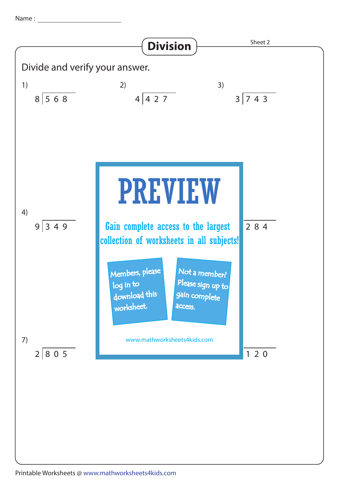